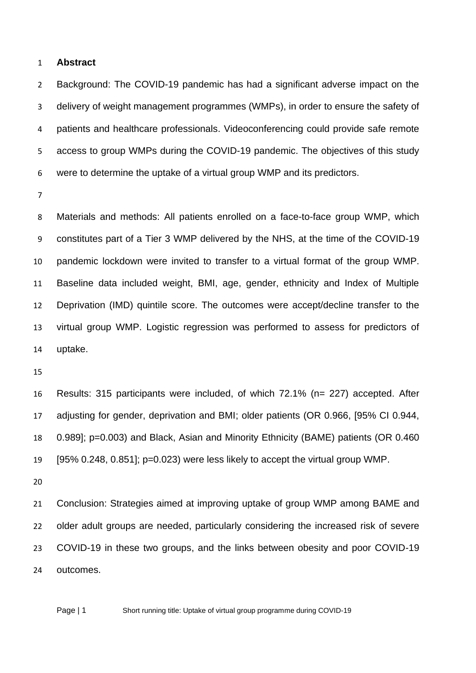#### **Abstract**

 Background: The COVID-19 pandemic has had a significant adverse impact on the delivery of weight management programmes (WMPs), in order to ensure the safety of patients and healthcare professionals. Videoconferencing could provide safe remote access to group WMPs during the COVID-19 pandemic. The objectives of this study were to determine the uptake of a virtual group WMP and its predictors.

 Materials and methods: All patients enrolled on a face-to-face group WMP, which constitutes part of a Tier 3 WMP delivered by the NHS, at the time of the COVID-19 pandemic lockdown were invited to transfer to a virtual format of the group WMP. Baseline data included weight, BMI, age, gender, ethnicity and Index of Multiple Deprivation (IMD) quintile score. The outcomes were accept/decline transfer to the virtual group WMP. Logistic regression was performed to assess for predictors of uptake.

 Results: 315 participants were included, of which 72.1% (n= 227) accepted. After adjusting for gender, deprivation and BMI; older patients (OR 0.966, [95% CI 0.944, 0.989]; p=0.003) and Black, Asian and Minority Ethnicity (BAME) patients (OR 0.460 [95% 0.248, 0.851]; p=0.023) were less likely to accept the virtual group WMP.

 Conclusion: Strategies aimed at improving uptake of group WMP among BAME and older adult groups are needed, particularly considering the increased risk of severe COVID-19 in these two groups, and the links between obesity and poor COVID-19 outcomes.

Page | 1 Short running title: Uptake of virtual group programme during COVID-19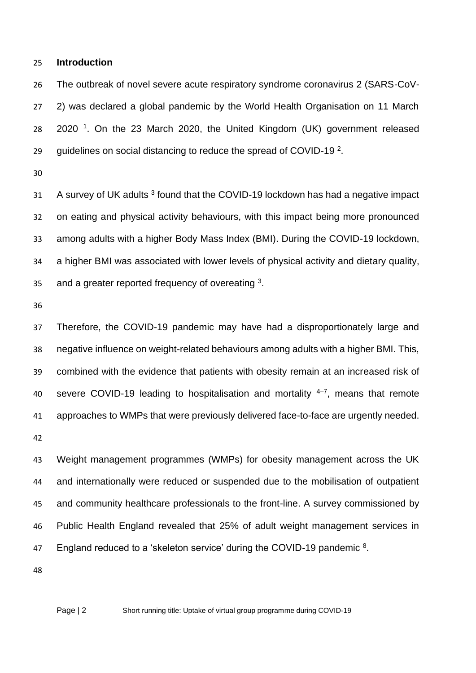#### **Introduction**

 The outbreak of novel severe acute respiratory syndrome coronavirus 2 (SARS-CoV- 2) was declared a global pandemic by the World Health Organisation on 11 March <sup>1</sup>. On the 23 March 2020, the United Kingdom (UK) government released quidelines on social distancing to reduce the spread of COVID-19<sup>2</sup>.

 A survey of UK adults  $3$  found that the COVID-19 lockdown has had a negative impact on eating and physical activity behaviours, with this impact being more pronounced among adults with a higher Body Mass Index (BMI). During the COVID-19 lockdown, a higher BMI was associated with lower levels of physical activity and dietary quality, 35 and a greater reported frequency of overeating .

 Therefore, the COVID-19 pandemic may have had a disproportionately large and negative influence on weight-related behaviours among adults with a higher BMI. This, combined with the evidence that patients with obesity remain at an increased risk of 40 severe COVID-19 leading to hospitalisation and mortality  $4-7$ , means that remote approaches to WMPs that were previously delivered face-to-face are urgently needed. 

 Weight management programmes (WMPs) for obesity management across the UK and internationally were reduced or suspended due to the mobilisation of outpatient and community healthcare professionals to the front-line. A survey commissioned by Public Health England revealed that 25% of adult weight management services in 47 England reduced to a 'skeleton service' during the COVID-19 pandemic .

Page | 2 Short running title: Uptake of virtual group programme during COVID-19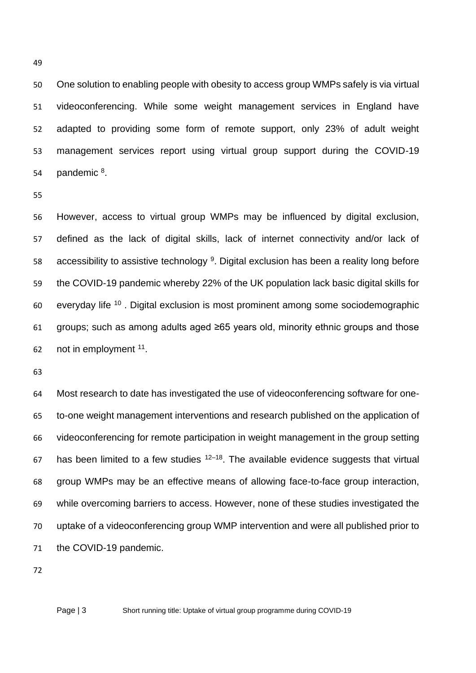One solution to enabling people with obesity to access group WMPs safely is via virtual videoconferencing. While some weight management services in England have adapted to providing some form of remote support, only 23% of adult weight management services report using virtual group support during the COVID-19  $p$  pandemic  $8$ .

 However, access to virtual group WMPs may be influenced by digital exclusion, defined as the lack of digital skills, lack of internet connectivity and/or lack of 58 accessibility to assistive technology . Digital exclusion has been a reality long before the COVID-19 pandemic whereby 22% of the UK population lack basic digital skills for everyday life  $10$ . Digital exclusion is most prominent among some sociodemographic groups; such as among adults aged ≥65 years old, minority ethnic groups and those 62 not in employment .

 Most research to date has investigated the use of videoconferencing software for one- to-one weight management interventions and research published on the application of videoconferencing for remote participation in weight management in the group setting 67 has been limited to a few studies  $12-18$ . The available evidence suggests that virtual group WMPs may be an effective means of allowing face-to-face group interaction, while overcoming barriers to access. However, none of these studies investigated the uptake of a videoconferencing group WMP intervention and were all published prior to the COVID-19 pandemic.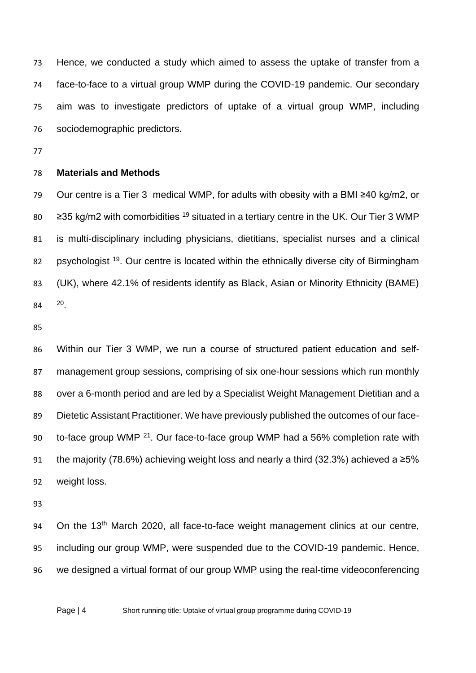Hence, we conducted a study which aimed to assess the uptake of transfer from a face-to-face to a virtual group WMP during the COVID-19 pandemic. Our secondary aim was to investigate predictors of uptake of a virtual group WMP, including sociodemographic predictors.

## **Materials and Methods**

 Our centre is a Tier 3 medical WMP, for adults with obesity with a BMI ≥40 kg/m2, or  $\geq$  235 kg/m2 with comorbidities <sup>19</sup> situated in a tertiary centre in the UK. Our Tier 3 WMP is multi-disciplinary including physicians, dietitians, specialist nurses and a clinical 82 psychologist <sup>19</sup>. Our centre is located within the ethnically diverse city of Birmingham (UK), where 42.1% of residents identify as Black, Asian or Minority Ethnicity (BAME) 84 <sup>20</sup>

 Within our Tier 3 WMP, we run a course of structured patient education and self- management group sessions, comprising of six one-hour sessions which run monthly over a 6-month period and are led by a Specialist Weight Management Dietitian and a Dietetic Assistant Practitioner. We have previously published the outcomes of our face-90 to-face group WMP  $^{21}$ . Our face-to-face group WMP had a 56% completion rate with 91 the majority (78.6%) achieving weight loss and nearly a third (32.3%) achieved a  $≥5%$ weight loss.

94 On the 13<sup>th</sup> March 2020, all face-to-face weight management clinics at our centre, including our group WMP, were suspended due to the COVID-19 pandemic. Hence, we designed a virtual format of our group WMP using the real-time videoconferencing

Page | 4 Short running title: Uptake of virtual group programme during COVID-19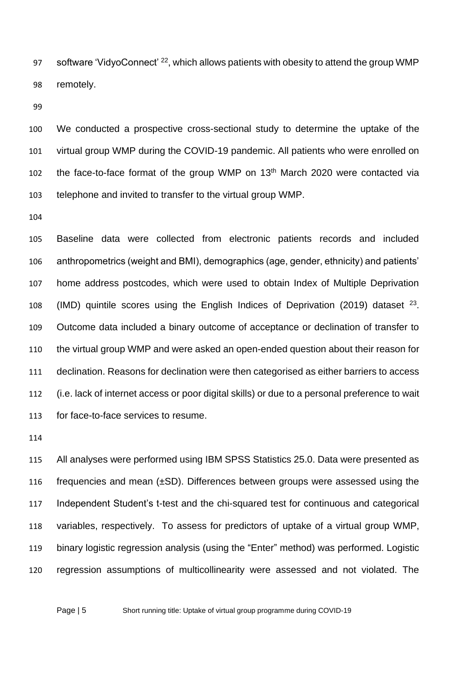97 software 'VidyoConnect' <sup>22</sup>, which allows patients with obesity to attend the group WMP remotely.

 We conducted a prospective cross-sectional study to determine the uptake of the virtual group WMP during the COVID-19 pandemic. All patients who were enrolled on 102 the face-to-face format of the group WMP on  $13<sup>th</sup>$  March 2020 were contacted via telephone and invited to transfer to the virtual group WMP.

 Baseline data were collected from electronic patients records and included anthropometrics (weight and BMI), demographics (age, gender, ethnicity) and patients' home address postcodes, which were used to obtain Index of Multiple Deprivation 108 (IMD) quintile scores using the English Indices of Deprivation (2019) dataset . Outcome data included a binary outcome of acceptance or declination of transfer to the virtual group WMP and were asked an open-ended question about their reason for declination. Reasons for declination were then categorised as either barriers to access (i.e. lack of internet access or poor digital skills) or due to a personal preference to wait for face-to-face services to resume.

 All analyses were performed using IBM SPSS Statistics 25.0. Data were presented as frequencies and mean (±SD). Differences between groups were assessed using the Independent Student's t-test and the chi-squared test for continuous and categorical variables, respectively. To assess for predictors of uptake of a virtual group WMP, binary logistic regression analysis (using the "Enter" method) was performed. Logistic regression assumptions of multicollinearity were assessed and not violated. The

Page | 5 Short running title: Uptake of virtual group programme during COVID-19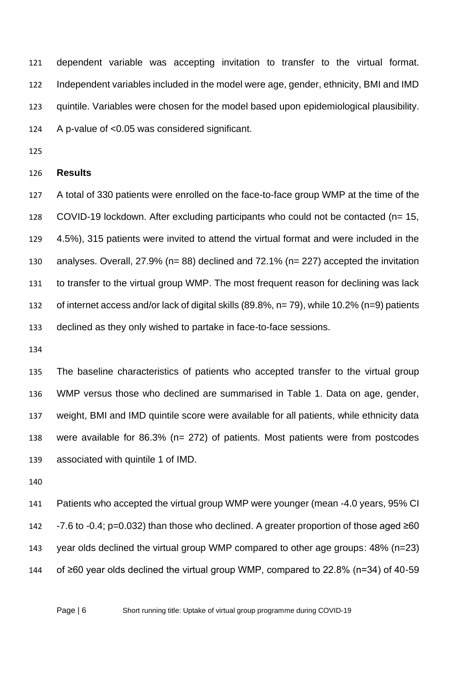dependent variable was accepting invitation to transfer to the virtual format. Independent variables included in the model were age, gender, ethnicity, BMI and IMD quintile. Variables were chosen for the model based upon epidemiological plausibility. A p-value of <0.05 was considered significant.

#### **Results**

 A total of 330 patients were enrolled on the face-to-face group WMP at the time of the COVID-19 lockdown. After excluding participants who could not be contacted (n= 15, 4.5%), 315 patients were invited to attend the virtual format and were included in the analyses. Overall, 27.9% (n= 88) declined and 72.1% (n= 227) accepted the invitation to transfer to the virtual group WMP. The most frequent reason for declining was lack of internet access and/or lack of digital skills (89.8%, n= 79), while 10.2% (n=9) patients declined as they only wished to partake in face-to-face sessions.

 The baseline characteristics of patients who accepted transfer to the virtual group WMP versus those who declined are summarised in Table 1. Data on age, gender, weight, BMI and IMD quintile score were available for all patients, while ethnicity data were available for 86.3% (n= 272) of patients. Most patients were from postcodes associated with quintile 1 of IMD.

 Patients who accepted the virtual group WMP were younger (mean -4.0 years, 95% CI -7.6 to -0.4; p=0.032) than those who declined. A greater proportion of those aged ≥60 year olds declined the virtual group WMP compared to other age groups: 48% (n=23) of ≥60 year olds declined the virtual group WMP, compared to 22.8% (n=34) of 40-59

Page | 6 Short running title: Uptake of virtual group programme during COVID-19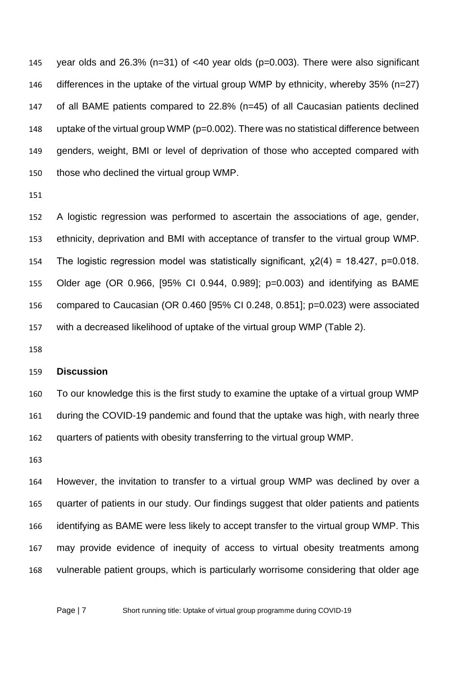year olds and 26.3% (n=31) of <40 year olds (p=0.003). There were also significant differences in the uptake of the virtual group WMP by ethnicity, whereby 35% (n=27) of all BAME patients compared to 22.8% (n=45) of all Caucasian patients declined uptake of the virtual group WMP (p=0.002). There was no statistical difference between genders, weight, BMI or level of deprivation of those who accepted compared with those who declined the virtual group WMP.

 A logistic regression was performed to ascertain the associations of age, gender, ethnicity, deprivation and BMI with acceptance of transfer to the virtual group WMP. The logistic regression model was statistically significant, χ2(4) = 18.427, p=0.018. Older age (OR 0.966, [95% CI 0.944, 0.989]; p=0.003) and identifying as BAME compared to Caucasian (OR 0.460 [95% CI 0.248, 0.851]; p=0.023) were associated with a decreased likelihood of uptake of the virtual group WMP (Table 2).

### **Discussion**

 To our knowledge this is the first study to examine the uptake of a virtual group WMP during the COVID-19 pandemic and found that the uptake was high, with nearly three quarters of patients with obesity transferring to the virtual group WMP.

 However, the invitation to transfer to a virtual group WMP was declined by over a quarter of patients in our study. Our findings suggest that older patients and patients identifying as BAME were less likely to accept transfer to the virtual group WMP. This may provide evidence of inequity of access to virtual obesity treatments among vulnerable patient groups, which is particularly worrisome considering that older age

Page | 7 Short running title: Uptake of virtual group programme during COVID-19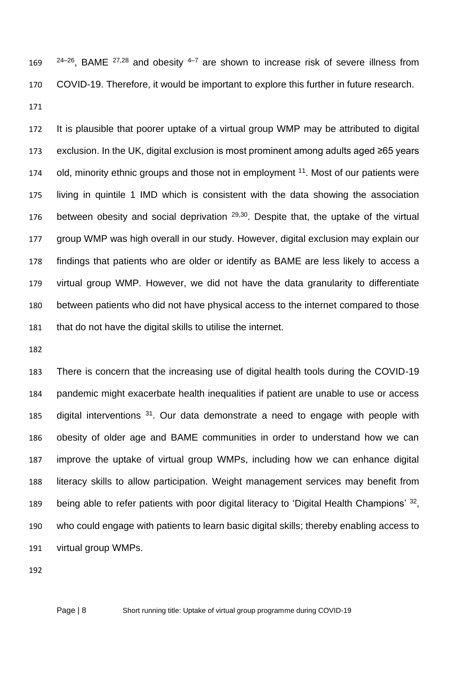$24-26$ , BAME  $27,28$  and obesity  $4-7$  are shown to increase risk of severe illness from COVID-19. Therefore, it would be important to explore this further in future research. 

 It is plausible that poorer uptake of a virtual group WMP may be attributed to digital exclusion. In the UK, digital exclusion is most prominent among adults aged ≥65 years 174 old, minority ethnic groups and those not in employment <sup>11</sup>. Most of our patients were living in quintile 1 IMD which is consistent with the data showing the association 176 between obesity and social deprivation  $29,30$ . Despite that, the uptake of the virtual group WMP was high overall in our study. However, digital exclusion may explain our findings that patients who are older or identify as BAME are less likely to access a virtual group WMP. However, we did not have the data granularity to differentiate between patients who did not have physical access to the internet compared to those that do not have the digital skills to utilise the internet.

 There is concern that the increasing use of digital health tools during the COVID-19 pandemic might exacerbate health inequalities if patient are unable to use or access 185 digital interventions . Our data demonstrate a need to engage with people with obesity of older age and BAME communities in order to understand how we can improve the uptake of virtual group WMPs, including how we can enhance digital literacy skills to allow participation. Weight management services may benefit from 189 being able to refer patients with poor digital literacy to 'Digital Health Champions' 32, who could engage with patients to learn basic digital skills; thereby enabling access to virtual group WMPs.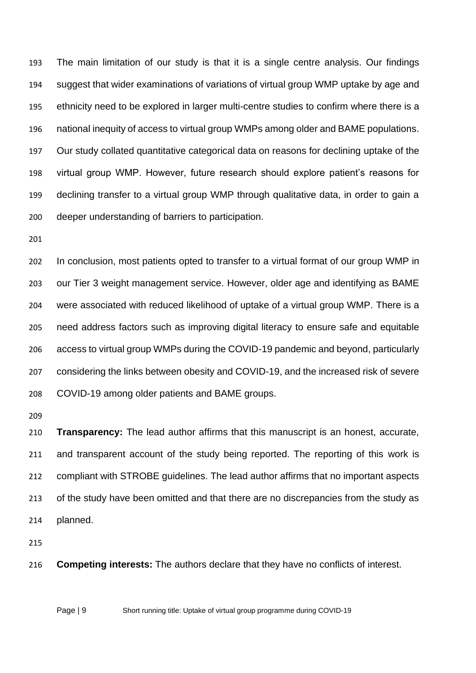The main limitation of our study is that it is a single centre analysis. Our findings suggest that wider examinations of variations of virtual group WMP uptake by age and ethnicity need to be explored in larger multi-centre studies to confirm where there is a national inequity of access to virtual group WMPs among older and BAME populations. Our study collated quantitative categorical data on reasons for declining uptake of the virtual group WMP. However, future research should explore patient's reasons for declining transfer to a virtual group WMP through qualitative data, in order to gain a deeper understanding of barriers to participation.

 In conclusion, most patients opted to transfer to a virtual format of our group WMP in our Tier 3 weight management service. However, older age and identifying as BAME were associated with reduced likelihood of uptake of a virtual group WMP. There is a need address factors such as improving digital literacy to ensure safe and equitable access to virtual group WMPs during the COVID-19 pandemic and beyond, particularly considering the links between obesity and COVID-19, and the increased risk of severe COVID-19 among older patients and BAME groups.

 **Transparency:** The lead author affirms that this manuscript is an honest, accurate, and transparent account of the study being reported. The reporting of this work is compliant with STROBE guidelines. The lead author affirms that no important aspects of the study have been omitted and that there are no discrepancies from the study as planned.

**Competing interests:** The authors declare that they have no conflicts of interest.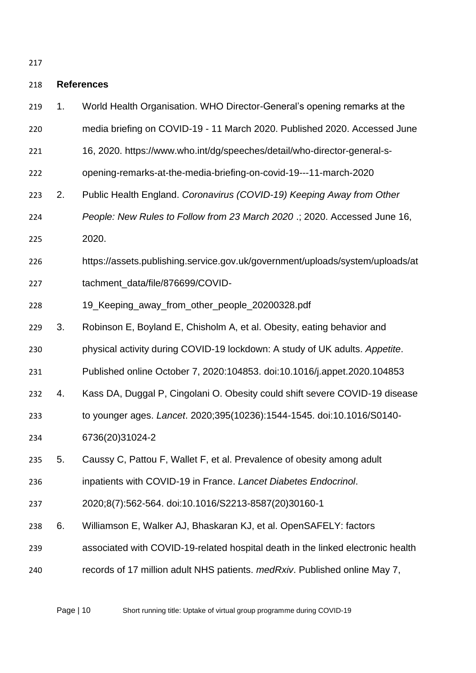## **References**

 1. World Health Organisation. WHO Director-General's opening remarks at the media briefing on COVID-19 - 11 March 2020. Published 2020. Accessed June 16, 2020. https://www.who.int/dg/speeches/detail/who-director-general-s- opening-remarks-at-the-media-briefing-on-covid-19---11-march-2020 2. Public Health England. *Coronavirus (COVID-19) Keeping Away from Other People: New Rules to Follow from 23 March 2020* .; 2020. Accessed June 16, 2020. https://assets.publishing.service.gov.uk/government/uploads/system/uploads/at 227 tachment data/file/876699/COVID-228 19 Keeping away from other people 20200328.pdf 3. Robinson E, Boyland E, Chisholm A, et al. Obesity, eating behavior and physical activity during COVID-19 lockdown: A study of UK adults. *Appetite*. Published online October 7, 2020:104853. doi:10.1016/j.appet.2020.104853 4. Kass DA, Duggal P, Cingolani O. Obesity could shift severe COVID-19 disease to younger ages. *Lancet*. 2020;395(10236):1544-1545. doi:10.1016/S0140- 6736(20)31024-2 5. Caussy C, Pattou F, Wallet F, et al. Prevalence of obesity among adult inpatients with COVID-19 in France. *Lancet Diabetes Endocrinol*. 2020;8(7):562-564. doi:10.1016/S2213-8587(20)30160-1 6. Williamson E, Walker AJ, Bhaskaran KJ, et al. OpenSAFELY: factors associated with COVID-19-related hospital death in the linked electronic health records of 17 million adult NHS patients. *medRxiv*. Published online May 7,

Page | 10 Short running title: Uptake of virtual group programme during COVID-19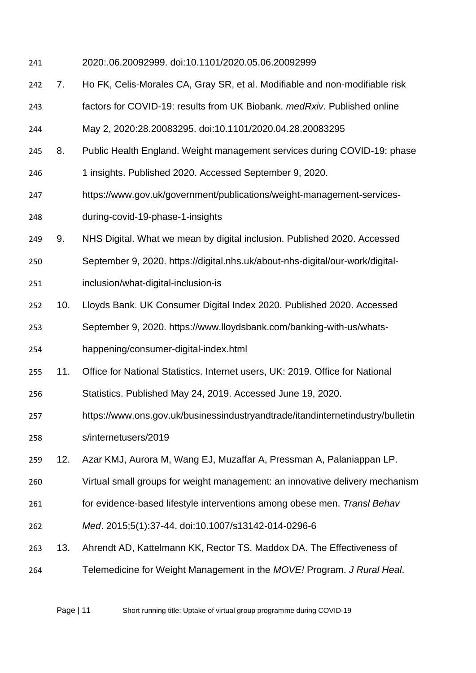2020:.06.20092999. doi:10.1101/2020.05.06.20092999

- 7. Ho FK, Celis-Morales CA, Gray SR, et al. Modifiable and non-modifiable risk
- factors for COVID-19: results from UK Biobank. *medRxiv*. Published online
- May 2, 2020:28.20083295. doi:10.1101/2020.04.28.20083295
- 8. Public Health England. Weight management services during COVID-19: phase
- 1 insights. Published 2020. Accessed September 9, 2020.
- https://www.gov.uk/government/publications/weight-management-services-during-covid-19-phase-1-insights
- 9. NHS Digital. What we mean by digital inclusion. Published 2020. Accessed
- September 9, 2020. https://digital.nhs.uk/about-nhs-digital/our-work/digital-
- inclusion/what-digital-inclusion-is
- 10. Lloyds Bank. UK Consumer Digital Index 2020. Published 2020. Accessed
- September 9, 2020. https://www.lloydsbank.com/banking-with-us/whats-
- happening/consumer-digital-index.html
- 11. Office for National Statistics. Internet users, UK: 2019. Office for National
- Statistics. Published May 24, 2019. Accessed June 19, 2020.
- https://www.ons.gov.uk/businessindustryandtrade/itandinternetindustry/bulletin s/internetusers/2019
- 12. Azar KMJ, Aurora M, Wang EJ, Muzaffar A, Pressman A, Palaniappan LP.
- Virtual small groups for weight management: an innovative delivery mechanism
- for evidence-based lifestyle interventions among obese men. *Transl Behav*
- *Med*. 2015;5(1):37-44. doi:10.1007/s13142-014-0296-6
- 13. Ahrendt AD, Kattelmann KK, Rector TS, Maddox DA. The Effectiveness of
- Telemedicine for Weight Management in the *MOVE!* Program. *J Rural Heal*.

Page | 11 Short running title: Uptake of virtual group programme during COVID-19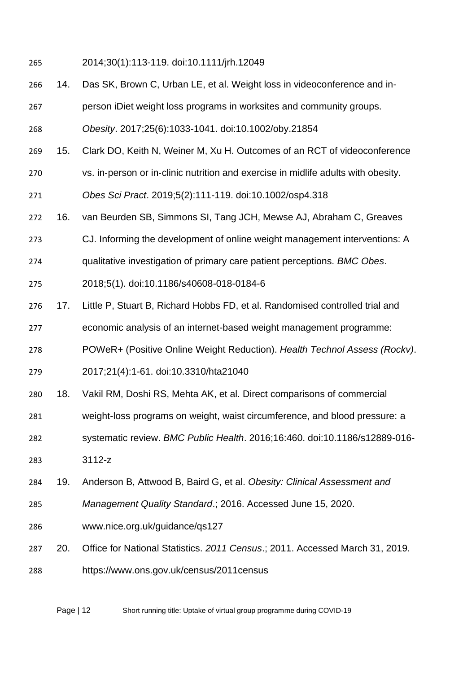2014;30(1):113-119. doi:10.1111/jrh.12049

- 14. Das SK, Brown C, Urban LE, et al. Weight loss in videoconference and in-
- person iDiet weight loss programs in worksites and community groups.
- *Obesity*. 2017;25(6):1033-1041. doi:10.1002/oby.21854
- 15. Clark DO, Keith N, Weiner M, Xu H. Outcomes of an RCT of videoconference
- vs. in‐person or in‐clinic nutrition and exercise in midlife adults with obesity.
- *Obes Sci Pract*. 2019;5(2):111-119. doi:10.1002/osp4.318
- 16. van Beurden SB, Simmons SI, Tang JCH, Mewse AJ, Abraham C, Greaves
- CJ. Informing the development of online weight management interventions: A
- qualitative investigation of primary care patient perceptions. *BMC Obes*.
- 2018;5(1). doi:10.1186/s40608-018-0184-6
- 17. Little P, Stuart B, Richard Hobbs FD, et al. Randomised controlled trial and
- economic analysis of an internet-based weight management programme:
- POWeR+ (Positive Online Weight Reduction). *Health Technol Assess (Rockv)*.
- 2017;21(4):1-61. doi:10.3310/hta21040
- 18. Vakil RM, Doshi RS, Mehta AK, et al. Direct comparisons of commercial
- weight-loss programs on weight, waist circumference, and blood pressure: a
- systematic review. *BMC Public Health*. 2016;16:460. doi:10.1186/s12889-016-
- 3112-z
- 19. Anderson B, Attwood B, Baird G, et al. *Obesity: Clinical Assessment and*
- *Management Quality Standard*.; 2016. Accessed June 15, 2020.
- www.nice.org.uk/guidance/qs127
- 20. Office for National Statistics. *2011 Census*.; 2011. Accessed March 31, 2019.
- https://www.ons.gov.uk/census/2011census

Page | 12 Short running title: Uptake of virtual group programme during COVID-19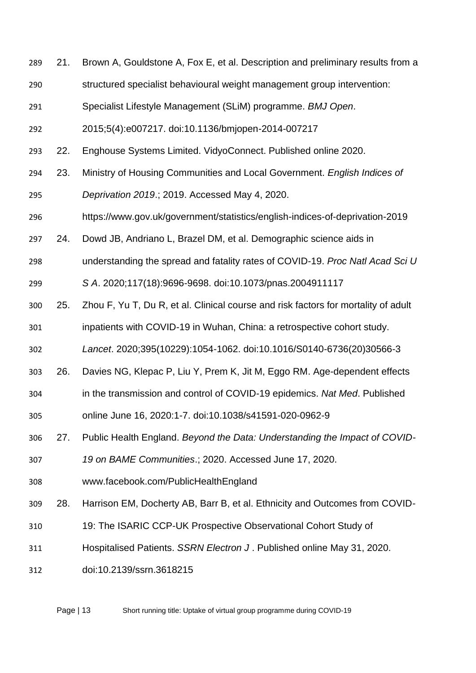- 21. Brown A, Gouldstone A, Fox E, et al. Description and preliminary results from a
- structured specialist behavioural weight management group intervention:
- Specialist Lifestyle Management (SLiM) programme. *BMJ Open*.
- 2015;5(4):e007217. doi:10.1136/bmjopen-2014-007217
- 22. Enghouse Systems Limited. VidyoConnect. Published online 2020.
- 23. Ministry of Housing Communities and Local Government. *English Indices of*
- *Deprivation 2019*.; 2019. Accessed May 4, 2020.
- https://www.gov.uk/government/statistics/english-indices-of-deprivation-2019
- 24. Dowd JB, Andriano L, Brazel DM, et al. Demographic science aids in
- understanding the spread and fatality rates of COVID-19. *Proc Natl Acad Sci U*
- *S A*. 2020;117(18):9696-9698. doi:10.1073/pnas.2004911117
- 25. Zhou F, Yu T, Du R, et al. Clinical course and risk factors for mortality of adult
- inpatients with COVID-19 in Wuhan, China: a retrospective cohort study.
- *Lancet*. 2020;395(10229):1054-1062. doi:10.1016/S0140-6736(20)30566-3
- 26. Davies NG, Klepac P, Liu Y, Prem K, Jit M, Eggo RM. Age-dependent effects
- in the transmission and control of COVID-19 epidemics. *Nat Med*. Published
- online June 16, 2020:1-7. doi:10.1038/s41591-020-0962-9
- 27. Public Health England. *Beyond the Data: Understanding the Impact of COVID-*
- *19 on BAME Communities*.; 2020. Accessed June 17, 2020.
- www.facebook.com/PublicHealthEngland
- 28. Harrison EM, Docherty AB, Barr B, et al. Ethnicity and Outcomes from COVID-
- 19: The ISARIC CCP-UK Prospective Observational Cohort Study of
- Hospitalised Patients. *SSRN Electron J* . Published online May 31, 2020.
- doi:10.2139/ssrn.3618215

Page | 13 Short running title: Uptake of virtual group programme during COVID-19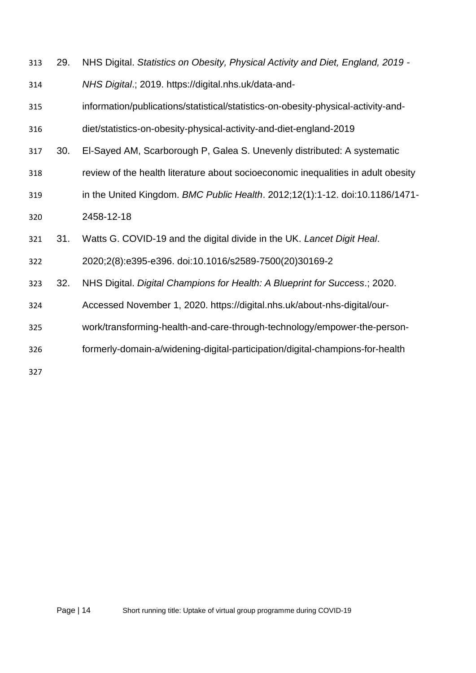| 313 | 29. | NHS Digital. Statistics on Obesity, Physical Activity and Diet, England, 2019 -   |
|-----|-----|-----------------------------------------------------------------------------------|
| 314 |     | NHS Digital.; 2019. https://digital.nhs.uk/data-and-                              |
| 315 |     | information/publications/statistical/statistics-on-obesity-physical-activity-and- |
| 316 |     | diet/statistics-on-obesity-physical-activity-and-diet-england-2019                |
| 317 | 30. | El-Sayed AM, Scarborough P, Galea S. Unevenly distributed: A systematic           |
| 318 |     | review of the health literature about socioeconomic inequalities in adult obesity |
| 319 |     | in the United Kingdom. BMC Public Health. 2012;12(1):1-12. doi:10.1186/1471-      |
| 320 |     | 2458-12-18                                                                        |
| 321 | 31. | Watts G. COVID-19 and the digital divide in the UK. Lancet Digit Heal.            |
| 322 |     | 2020;2(8):e395-e396. doi:10.1016/s2589-7500(20)30169-2                            |
| 323 | 32. | NHS Digital. Digital Champions for Health: A Blueprint for Success.; 2020.        |
| 324 |     | Accessed November 1, 2020. https://digital.nhs.uk/about-nhs-digital/our-          |
| 325 |     | work/transforming-health-and-care-through-technology/empower-the-person-          |
| 326 |     | formerly-domain-a/widening-digital-participation/digital-champions-for-health     |
| 327 |     |                                                                                   |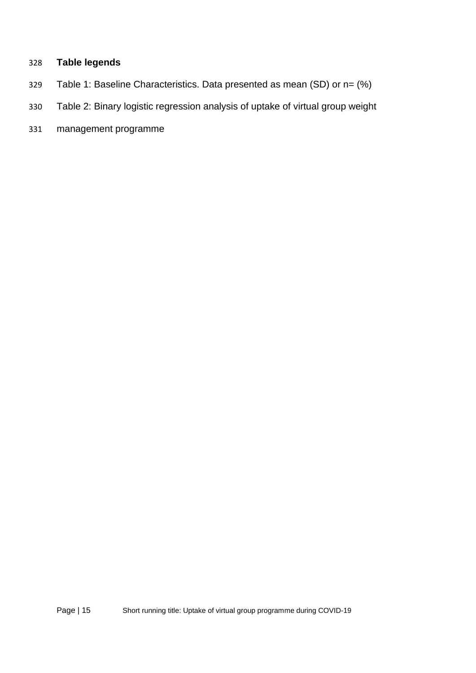# **Table legends**

- Table 1: Baseline Characteristics. Data presented as mean (SD) or n= (%)
- Table 2: Binary logistic regression analysis of uptake of virtual group weight
- management programme